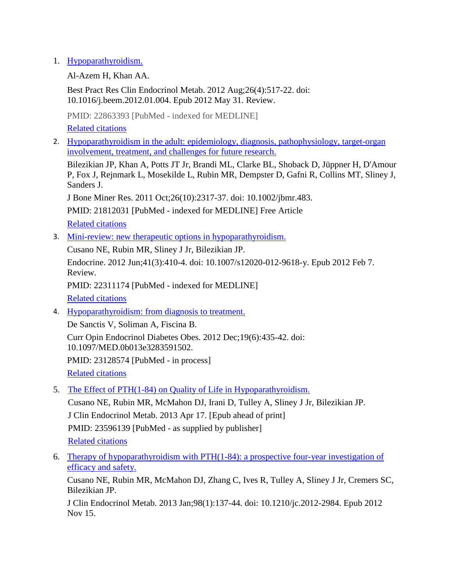## 1. [Hypoparathyroidism.](http://www.ncbi.nlm.nih.gov/pubmed/22863393)

Al-Azem H, Khan AA.

Best Pract Res Clin Endocrinol Metab. 2012 Aug;26(4):517-22. doi: 10.1016/j.beem.2012.01.004. Epub 2012 May 31. Review.

PMID: 22863393 [PubMed - indexed for MEDLINE] [Related citations](http://www.ncbi.nlm.nih.gov/pubmed?linkname=pubmed_pubmed&from_uid=8651738)

2. [Hypoparathyroidism in the adult: epidemiology, diagnosis, pathophysiology, target-organ](http://www.ncbi.nlm.nih.gov/pubmed/21812031)  [involvement, treatment, and challenges for future research.](http://www.ncbi.nlm.nih.gov/pubmed/21812031)

Bilezikian JP, Khan A, Potts JT Jr, Brandi ML, Clarke BL, Shoback D, Jüppner H, D'Amour P, Fox J, Rejnmark L, Mosekilde L, Rubin MR, Dempster D, Gafni R, Collins MT, Sliney J, Sanders J.

J Bone Miner Res. 2011 Oct;26(10):2317-37. doi: 10.1002/jbmr.483.

PMID: 21812031 [PubMed - indexed for MEDLINE] Free Article [Related citations](http://www.ncbi.nlm.nih.gov/pubmed?linkname=pubmed_pubmed&from_uid=21812031)

3. [Mini-review: new therapeutic options in hypoparathyroidism.](http://www.ncbi.nlm.nih.gov/pubmed/22311174)

Cusano NE, Rubin MR, Sliney J Jr, Bilezikian JP.

Endocrine. 2012 Jun;41(3):410-4. doi: 10.1007/s12020-012-9618-y. Epub 2012 Feb 7. Review.

PMID: 22311174 [PubMed - indexed for MEDLINE] [Related citations](http://www.ncbi.nlm.nih.gov/pubmed?linkname=pubmed_pubmed&from_uid=22311174)

4. [Hypoparathyroidism: from diagnosis to treatment.](http://www.ncbi.nlm.nih.gov/pubmed/23128574)

De Sanctis V, Soliman A, Fiscina B. Curr Opin Endocrinol Diabetes Obes. 2012 Dec;19(6):435-42. doi: 10.1097/MED.0b013e3283591502. PMID: 23128574 [PubMed - in process] [Related citations](http://www.ncbi.nlm.nih.gov/pubmed?linkname=pubmed_pubmed&from_uid=23128574)

5. [The Effect of PTH\(1-84\) on Quality of Life in Hypoparathyroidism.](http://www.ncbi.nlm.nih.gov/pubmed/23596139)

Cusano NE, Rubin MR, McMahon DJ, Irani D, Tulley A, Sliney J Jr, Bilezikian JP. J Clin Endocrinol Metab. 2013 Apr 17. [Epub ahead of print] PMID: 23596139 [PubMed - as supplied by publisher] [Related citations](http://www.ncbi.nlm.nih.gov/pubmed?linkname=pubmed_pubmed&from_uid=23596139)

6. [Therapy of hypoparathyroidism with PTH\(1-84\): a prospective four-year investigation of](http://www.ncbi.nlm.nih.gov/pubmed/23162103)  [efficacy and safety.](http://www.ncbi.nlm.nih.gov/pubmed/23162103)

Cusano NE, Rubin MR, McMahon DJ, Zhang C, Ives R, Tulley A, Sliney J Jr, Cremers SC, Bilezikian JP.

J Clin Endocrinol Metab. 2013 Jan;98(1):137-44. doi: 10.1210/jc.2012-2984. Epub 2012 Nov 15.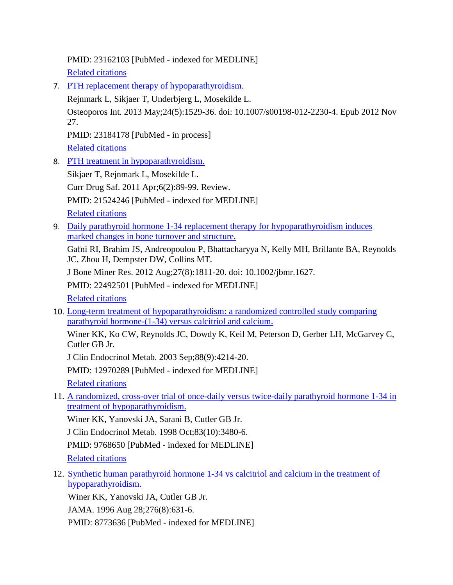PMID: 23162103 [PubMed - indexed for MEDLINE] [Related citations](http://www.ncbi.nlm.nih.gov/pubmed?linkname=pubmed_pubmed&from_uid=23162103)

7. [PTH replacement therapy of hypoparathyroidism.](http://www.ncbi.nlm.nih.gov/pubmed/23184178) Rejnmark L, Sikjaer T, Underbjerg L, Mosekilde L. Osteoporos Int. 2013 May;24(5):1529-36. doi: 10.1007/s00198-012-2230-4. Epub 2012 Nov 27. PMID: 23184178 [PubMed - in process]

[Related citations](http://www.ncbi.nlm.nih.gov/pubmed?linkname=pubmed_pubmed&from_uid=23184178)

8. [PTH treatment in hypoparathyroidism.](http://www.ncbi.nlm.nih.gov/pubmed/21524246)

Sikjaer T, Rejnmark L, Mosekilde L. Curr Drug Saf. 2011 Apr;6(2):89-99. Review. PMID: 21524246 [PubMed - indexed for MEDLINE] [Related citations](http://www.ncbi.nlm.nih.gov/pubmed?linkname=pubmed_pubmed&from_uid=21524246)

9. Daily parathyroid hormone 1-34 replacement therapy for hypoparathyroidism induces [marked changes in bone turnover and structure.](http://www.ncbi.nlm.nih.gov/pubmed/22492501)

Gafni RI, Brahim JS, Andreopoulou P, Bhattacharyya N, Kelly MH, Brillante BA, Reynolds JC, Zhou H, Dempster DW, Collins MT.

J Bone Miner Res. 2012 Aug;27(8):1811-20. doi: 10.1002/jbmr.1627.

PMID: 22492501 [PubMed - indexed for MEDLINE]

[Related citations](http://www.ncbi.nlm.nih.gov/pubmed?linkname=pubmed_pubmed&from_uid=22492501)

10. [Long-term treatment of hypoparathyroidism: a randomized controlled study comparing](http://www.ncbi.nlm.nih.gov/pubmed/12970289)  [parathyroid hormone-\(1-34\) versus calcitriol and calcium.](http://www.ncbi.nlm.nih.gov/pubmed/12970289)

Winer KK, Ko CW, Reynolds JC, Dowdy K, Keil M, Peterson D, Gerber LH, McGarvey C, Cutler GB Jr.

J Clin Endocrinol Metab. 2003 Sep;88(9):4214-20.

PMID: 12970289 [PubMed - indexed for MEDLINE]

[Related citations](http://www.ncbi.nlm.nih.gov/pubmed?linkname=pubmed_pubmed&from_uid=12970289)

11. [A randomized, cross-over trial of once-daily versus twice-daily parathyroid hormone 1-34 in](http://www.ncbi.nlm.nih.gov/pubmed/9768650)  [treatment of hypoparathyroidism.](http://www.ncbi.nlm.nih.gov/pubmed/9768650)

Winer KK, Yanovski JA, Sarani B, Cutler GB Jr.

J Clin Endocrinol Metab. 1998 Oct;83(10):3480-6.

PMID: 9768650 [PubMed - indexed for MEDLINE]

[Related citations](http://www.ncbi.nlm.nih.gov/pubmed?linkname=pubmed_pubmed&from_uid=9768650)

12. [Synthetic human parathyroid hormone 1-34 vs calcitriol and calcium in the treatment of](http://www.ncbi.nlm.nih.gov/pubmed/8773636)  [hypoparathyroidism.](http://www.ncbi.nlm.nih.gov/pubmed/8773636)

Winer KK, Yanovski JA, Cutler GB Jr.

JAMA. 1996 Aug 28;276(8):631-6.

PMID: 8773636 [PubMed - indexed for MEDLINE]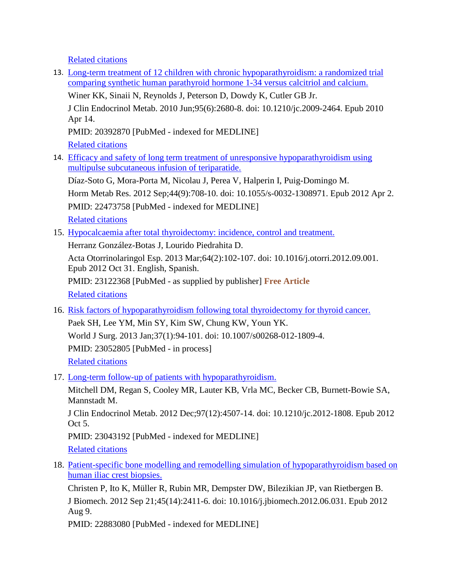[Related citations](http://www.ncbi.nlm.nih.gov/pubmed?linkname=pubmed_pubmed&from_uid=8773636)

13. [Long-term treatment of 12 children with chronic hypoparathyroidism: a randomized trial](http://www.ncbi.nlm.nih.gov/pubmed/20392870)  [comparing synthetic human parathyroid hormone 1-34 versus calcitriol and calcium.](http://www.ncbi.nlm.nih.gov/pubmed/20392870) Winer KK, Sinaii N, Reynolds J, Peterson D, Dowdy K, Cutler GB Jr. J Clin Endocrinol Metab. 2010 Jun;95(6):2680-8. doi: 10.1210/jc.2009-2464. Epub 2010 Apr 14. PMID: 20392870 [PubMed - indexed for MEDLINE] [Related citations](http://www.ncbi.nlm.nih.gov/pubmed?linkname=pubmed_pubmed&from_uid=20392870) 14. [Efficacy and safety of long term treatment of unresponsive hypoparathyroidism using](http://www.ncbi.nlm.nih.gov/pubmed/22473758)  [multipulse subcutaneous infusion of teriparatide.](http://www.ncbi.nlm.nih.gov/pubmed/22473758) Díaz-Soto G, Mora-Porta M, Nicolau J, Perea V, Halperin I, Puig-Domingo M. Horm Metab Res. 2012 Sep;44(9):708-10. doi: 10.1055/s-0032-1308971. Epub 2012 Apr 2. PMID: 22473758 [PubMed - indexed for MEDLINE]

[Related citations](http://www.ncbi.nlm.nih.gov/pubmed?linkname=pubmed_pubmed&from_uid=22473758)

15. [Hypocalcaemia after total thyroidectomy: incidence, control and treatment.](http://www.ncbi.nlm.nih.gov/pubmed/23122368)

Herranz González-Botas J, Lourido Piedrahita D.

Acta Otorrinolaringol Esp. 2013 Mar;64(2):102-107. doi: 10.1016/j.otorri.2012.09.001. Epub 2012 Oct 31. English, Spanish.

PMID: 23122368 [PubMed - as supplied by publisher] **Free Article**  [Related citations](http://www.ncbi.nlm.nih.gov/pubmed?linkname=pubmed_pubmed&from_uid=23122368)

- 16. [Risk factors of hypoparathyroidism following total thyroidectomy for thyroid cancer.](http://www.ncbi.nlm.nih.gov/pubmed/23052805) Paek SH, Lee YM, Min SY, Kim SW, Chung KW, Youn YK. World J Surg. 2013 Jan;37(1):94-101. doi: 10.1007/s00268-012-1809-4. PMID: 23052805 [PubMed - in process] [Related citations](http://www.ncbi.nlm.nih.gov/pubmed?linkname=pubmed_pubmed&from_uid=23052805)
- 17. [Long-term follow-up of patients with hypoparathyroidism.](http://www.ncbi.nlm.nih.gov/pubmed/23043192)

Mitchell DM, Regan S, Cooley MR, Lauter KB, Vrla MC, Becker CB, Burnett-Bowie SA, Mannstadt M.

J Clin Endocrinol Metab. 2012 Dec;97(12):4507-14. doi: 10.1210/jc.2012-1808. Epub 2012 Oct 5.

PMID: 23043192 [PubMed - indexed for MEDLINE]

[Related citations](http://www.ncbi.nlm.nih.gov/pubmed?linkname=pubmed_pubmed&from_uid=23043192)

18. [Patient-specific bone modelling and remodelling](http://www.ncbi.nlm.nih.gov/pubmed/22883080) simulation of hypoparathyroidism based on [human iliac crest biopsies.](http://www.ncbi.nlm.nih.gov/pubmed/22883080)

Christen P, Ito K, Müller R, Rubin MR, Dempster DW, Bilezikian JP, van Rietbergen B. J Biomech. 2012 Sep 21;45(14):2411-6. doi: 10.1016/j.jbiomech.2012.06.031. Epub 2012 Aug 9.

PMID: 22883080 [PubMed - indexed for MEDLINE]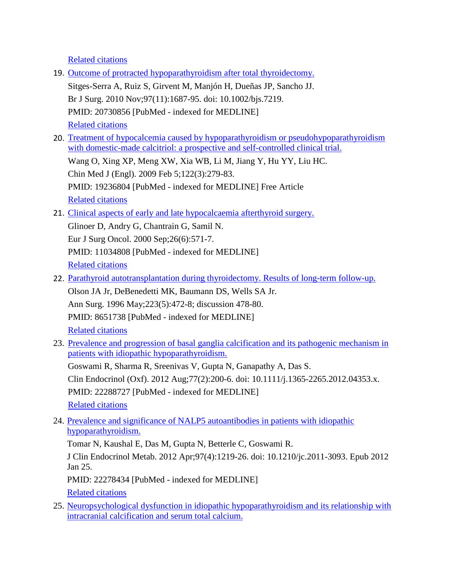[Related citations](http://www.ncbi.nlm.nih.gov/pubmed?linkname=pubmed_pubmed&from_uid=22883080)

- 19. [Outcome of protracted hypoparathyroidism after total thyroidectomy.](http://www.ncbi.nlm.nih.gov/pubmed/20730856) Sitges-Serra A, Ruiz S, Girvent M, Manjón H, Dueñas JP, Sancho JJ. Br J Surg. 2010 Nov;97(11):1687-95. doi: 10.1002/bjs.7219. PMID: 20730856 [PubMed - indexed for MEDLINE] [Related citations](http://www.ncbi.nlm.nih.gov/pubmed?linkname=pubmed_pubmed&from_uid=20730856)
- 20. [Treatment of hypocalcemia caused by hypoparathyroidism or pseudohypoparathyroidism](http://www.ncbi.nlm.nih.gov/pubmed/19236804)  [with domestic-made calcitriol: a prospective and self-controlled clinical trial.](http://www.ncbi.nlm.nih.gov/pubmed/19236804)

Wang O, Xing XP, Meng XW, Xia WB, Li M, Jiang Y, Hu YY, Liu HC. Chin Med J (Engl). 2009 Feb 5;122(3):279-83. PMID: 19236804 [PubMed - indexed for MEDLINE] Free Article [Related citations](http://www.ncbi.nlm.nih.gov/pubmed?linkname=pubmed_pubmed&from_uid=19236804)

21. [Clinical aspects of early and late hypocalcaemia afterthyroid surgery.](http://www.ncbi.nlm.nih.gov/pubmed/11034808)

Glinoer D, Andry G, Chantrain G, Samil N. Eur J Surg Oncol. 2000 Sep;26(6):571-7. PMID: 11034808 [PubMed - indexed for MEDLINE] [Related citations](http://www.ncbi.nlm.nih.gov/pubmed?linkname=pubmed_pubmed&from_uid=11034808)

22. [Parathyroid autotransplantation during thyroidectomy. Results of long-term follow-up.](http://www.ncbi.nlm.nih.gov/pubmed/8651738)

Olson JA Jr, DeBenedetti MK, Baumann DS, Wells SA Jr. Ann Surg. 1996 May;223(5):472-8; discussion 478-80. PMID: 8651738 [PubMed - indexed for MEDLINE] [Related citations](http://www.ncbi.nlm.nih.gov/pubmed?linkname=pubmed_pubmed&from_uid=8651738)

23. [Prevalence and progression of basal ganglia calcification and its pathogenic mechanism in](http://www.ncbi.nlm.nih.gov/pubmed/22288727)  [patients with idiopathic hypoparathyroidism.](http://www.ncbi.nlm.nih.gov/pubmed/22288727)

Goswami R, Sharma R, Sreenivas V, Gupta N, Ganapathy A, Das S. Clin Endocrinol (Oxf). 2012 Aug;77(2):200-6. doi: 10.1111/j.1365-2265.2012.04353.x. PMID: 22288727 [PubMed - indexed for MEDLINE] [Related citations](http://www.ncbi.nlm.nih.gov/pubmed?linkname=pubmed_pubmed&from_uid=22288727)

24. [Prevalence and significance of NALP5 autoantibodies](http://www.ncbi.nlm.nih.gov/pubmed/22278434) in patients with idiopathic [hypoparathyroidism.](http://www.ncbi.nlm.nih.gov/pubmed/22278434)

Tomar N, Kaushal E, Das M, Gupta N, Betterle C, Goswami R.

J Clin Endocrinol Metab. 2012 Apr;97(4):1219-26. doi: 10.1210/jc.2011-3093. Epub 2012 Jan 25.

PMID: 22278434 [PubMed - indexed for MEDLINE]

[Related citations](http://www.ncbi.nlm.nih.gov/pubmed?linkname=pubmed_pubmed&from_uid=22278434)

25. [Neuropsychological dysfunction in idiopathic hypoparathyroidism and its relationship with](http://www.ncbi.nlm.nih.gov/pubmed/23482593)  [intracranial calcification and serum total calcium.](http://www.ncbi.nlm.nih.gov/pubmed/23482593)